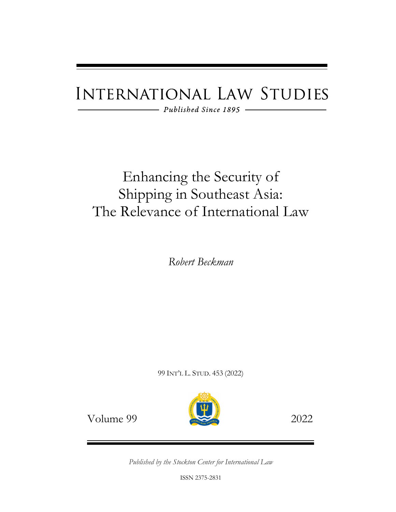# **INTERNATIONAL LAW STUDIES**

 $-$  Published Since 1895 -

# Enhancing the Security of Shipping in Southeast Asia: The Relevance of International Law

*Robert Beckman*

99 INT'L L. STUD. 453 (2022)



Volume 99 2022

*Published by the Stockton Center for International Law* 

ISSN 2375-2831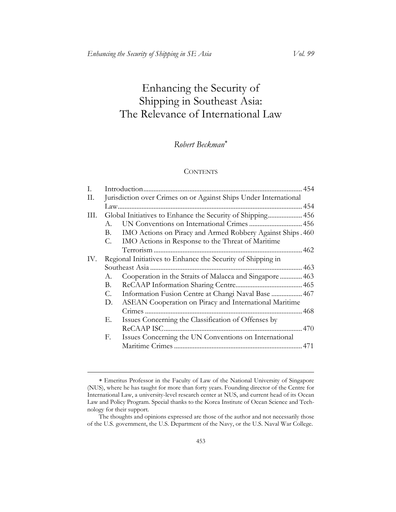# Enhancing the Security of Shipping in Southeast Asia: The Relevance of International Law

# *Robert Beckman*[∗](#page-1-0)

#### **CONTENTS**

| I.   |         |                                                                  |  |
|------|---------|------------------------------------------------------------------|--|
| П.   |         | Jurisdiction over Crimes on or Against Ships Under International |  |
|      |         |                                                                  |  |
| III. |         | Global Initiatives to Enhance the Security of Shipping 456       |  |
|      | $A_{-}$ | UN Conventions on International Crimes  456                      |  |
|      | В.      | IMO Actions on Piracy and Armed Robbery Against Ships. 460       |  |
|      | C.      | IMO Actions in Response to the Threat of Maritime                |  |
|      |         |                                                                  |  |
| IV.  |         | Regional Initiatives to Enhance the Security of Shipping in      |  |
|      |         | Southeast Asia.                                                  |  |
|      | А.      | Cooperation in the Straits of Malacca and Singapore  463         |  |
|      | В.      |                                                                  |  |
|      | C.      | Information Fusion Centre at Changi Naval Base  467              |  |
|      | D.      | ASEAN Cooperation on Piracy and International Maritime           |  |
|      |         |                                                                  |  |
|      | Е.      | Issues Concerning the Classification of Offenses by              |  |
|      |         |                                                                  |  |
|      | F.      | Issues Concerning the UN Conventions on International            |  |
|      |         |                                                                  |  |
|      |         |                                                                  |  |

<span id="page-1-0"></span><sup>∗</sup> Emeritus Professor in the Faculty of Law of the National University of Singapore (NUS), where he has taught for more than forty years. Founding director of the Centre for International Law, a university-level research center at NUS, and current head of its Ocean Law and Policy Program. Special thanks to the Korea Institute of Ocean Science and Technology for their support.

The thoughts and opinions expressed are those of the author and not necessarily those of the U.S. government, the U.S. Department of the Navy, or the U.S. Naval War College.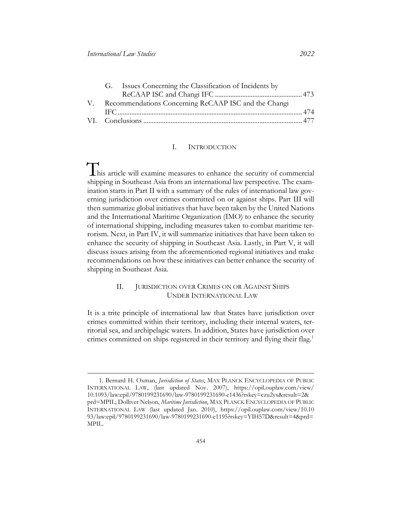| G. Issues Concerning the Classification of Incidents by |  |
|---------------------------------------------------------|--|
|                                                         |  |
| V. Recommendations Concerning ReCAAP ISC and the Changi |  |
|                                                         |  |
|                                                         |  |

# I. INTRODUCTION

<span id="page-2-0"></span>This article will examine measures to enhance the security of commercial shipping in Southeast Asia from an international law perspective. The examination starts in Part II with a summary of the rules of international law governing jurisdiction over crimes committed on or against ships. Part III will then summarize global initiatives that have been taken by the United Nations and the International Maritime Organization (IMO) to enhance the security of international shipping, including measures taken to combat maritime terrorism. Next, in Part IV, it will summarize initiatives that have been taken to enhance the security of shipping in Southeast Asia. Lastly, in Part V, it will discuss issues arising from the aforementioned regional initiatives and make recommendations on how these initiatives can better enhance the security of shipping in Southeast Asia.

# II. JURISDICTION OVER CRIMES ON OR AGAINST SHIPS UNDER INTERNATIONAL LAW

<span id="page-2-1"></span>It is a trite principle of international law that States have jurisdiction over crimes committed within their territory, including their internal waters, territorial sea, and archipelagic waters. In addition, States have jurisdiction over crimes committed on ships registered in their territory and flying their flag.<sup>[1](#page-2-2)</sup>

<span id="page-2-2"></span><sup>1.</sup> Bernard H. Oxman, *Jurisdiction of States*, MAX PLANCK ENCYCLOPEDIA OF PUBLIC INTERNATIONAL LAW, (last updated Nov. 2007), [https://opil.ouplaw.com/view/](https://opil.ouplaw.com/view/10.1093/law:epil/9780199231690/law-9780199231690-e1436?rskey=czu2yx&result=2&prd=MPIL)  [10.1093/law:epil/9780199231690/law-9780199231690-e1436?rskey=czu2yx&result=2&](https://opil.ouplaw.com/view/10.1093/law:epil/9780199231690/law-9780199231690-e1436?rskey=czu2yx&result=2&prd=MPIL)  [prd=MPIL;](https://opil.ouplaw.com/view/10.1093/law:epil/9780199231690/law-9780199231690-e1436?rskey=czu2yx&result=2&prd=MPIL) Dolliver Nelson, *Maritime Jurisdiction*, MAX PLANCK ENCYCLOPEDIA OF PUBLIC INTERNATIONAL LAW (last updated Jan. 2010), [https://opil.ouplaw.com/view/10.10](https://opil.ouplaw.com/view/10.1093/law:epil/9780199231690/law-9780199231690-e1195?rskey=YIH57D&result=4&prd=MPIL)  [93/law:epil/9780199231690/law-9780199231690-e1195?rskey=YIH57D&result=4&prd=](https://opil.ouplaw.com/view/10.1093/law:epil/9780199231690/law-9780199231690-e1195?rskey=YIH57D&result=4&prd=MPIL)  [MPIL.](https://opil.ouplaw.com/view/10.1093/law:epil/9780199231690/law-9780199231690-e1195?rskey=YIH57D&result=4&prd=MPIL)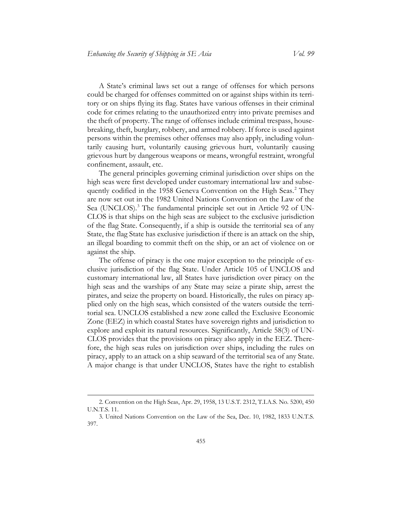A State's criminal laws set out a range of offenses for which persons could be charged for offenses committed on or against ships within its territory or on ships flying its flag. States have various offenses in their criminal code for crimes relating to the unauthorized entry into private premises and the theft of property. The range of offenses include criminal trespass, housebreaking, theft, burglary, robbery, and armed robbery. If force is used against persons within the premises other offenses may also apply, including voluntarily causing hurt, voluntarily causing grievous hurt, voluntarily causing grievous hurt by dangerous weapons or means, wrongful restraint, wrongful confinement, assault, etc.

The general principles governing criminal jurisdiction over ships on the high seas were first developed under customary international law and subse-quently codified in the 1958 Geneva Convention on the High Seas.<sup>[2](#page-3-0)</sup> They are now set out in the 1982 United Nations Convention on the Law of the Sea (UNCLOS).<sup>[3](#page-3-1)</sup> The fundamental principle set out in Article 92 of UN-CLOS is that ships on the high seas are subject to the exclusive jurisdiction of the flag State. Consequently, if a ship is outside the territorial sea of any State, the flag State has exclusive jurisdiction if there is an attack on the ship, an illegal boarding to commit theft on the ship, or an act of violence on or against the ship.

The offense of piracy is the one major exception to the principle of exclusive jurisdiction of the flag State. Under Article 105 of UNCLOS and customary international law, all States have jurisdiction over piracy on the high seas and the warships of any State may seize a pirate ship, arrest the pirates, and seize the property on board. Historically, the rules on piracy applied only on the high seas, which consisted of the waters outside the territorial sea. UNCLOS established a new zone called the Exclusive Economic Zone (EEZ) in which coastal States have sovereign rights and jurisdiction to explore and exploit its natural resources. Significantly, Article 58(3) of UN-CLOS provides that the provisions on piracy also apply in the EEZ. Therefore, the high seas rules on jurisdiction over ships, including the rules on piracy, apply to an attack on a ship seaward of the territorial sea of any State. A major change is that under UNCLOS, States have the right to establish

<span id="page-3-0"></span><sup>2.</sup> Convention on the High Seas, Apr. 29, 1958, 13 U.S.T. 2312, T.I.A.S. No. 5200, 450 U.N.T.S. 11.

<span id="page-3-1"></span><sup>3.</sup> United Nations Convention on the Law of the Sea, Dec. 10, 1982, 1833 U.N.T.S. 397.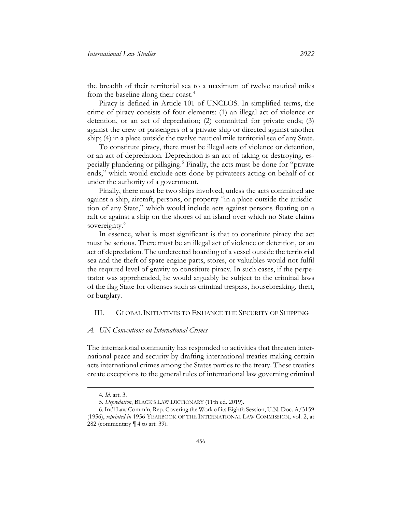the breadth of their territorial sea to a maximum of twelve nautical miles from the baseline along their coast[.4](#page-4-2)

Piracy is defined in Article 101 of UNCLOS. In simplified terms, the crime of piracy consists of four elements: (1) an illegal act of violence or detention, or an act of depredation; (2) committed for private ends; (3) against the crew or passengers of a private ship or directed against another ship; (4) in a place outside the twelve nautical mile territorial sea of any State.

To constitute piracy, there must be illegal acts of violence or detention, or an act of depredation. Depredation is an act of taking or destroying, especially plundering or pillaging[.5](#page-4-3) Finally, the acts must be done for "private ends," which would exclude acts done by privateers acting on behalf of or under the authority of a government.

Finally, there must be two ships involved, unless the acts committed are against a ship, aircraft, persons, or property "in a place outside the jurisdiction of any State," which would include acts against persons floating on a raft or against a ship on the shores of an island over which no State claims sovereignty.<sup>[6](#page-4-4)</sup>

In essence, what is most significant is that to constitute piracy the act must be serious. There must be an illegal act of violence or detention, or an act of depredation. The undetected boarding of a vessel outside the territorial sea and the theft of spare engine parts, stores, or valuables would not fulfil the required level of gravity to constitute piracy. In such cases, if the perpetrator was apprehended, he would arguably be subject to the criminal laws of the flag State for offenses such as criminal trespass, housebreaking, theft, or burglary.

# <span id="page-4-0"></span>III. GLOBAL INITIATIVES TO ENHANCE THE SECURITY OF SHIPPING

# <span id="page-4-1"></span>*A. UN Conventions on International Crimes*

The international community has responded to activities that threaten international peace and security by drafting international treaties making certain acts international crimes among the States parties to the treaty. These treaties create exceptions to the general rules of international law governing criminal

<sup>4.</sup> *Id.* art. 3.

<sup>5.</sup> *Depredation*, BLACK'S LAW DICTIONARY (11th ed. 2019).

<span id="page-4-4"></span><span id="page-4-3"></span><span id="page-4-2"></span><sup>6.</sup> Int'l Law Comm'n, Rep. Covering the Work of its Eighth Session, U.N. Doc. A/3159 (1956), *reprinted in* 1956 YEARBOOK OF THE INTERNATIONAL LAW COMMISSION, vol. 2, at 282 (commentary ¶ 4 to art. 39).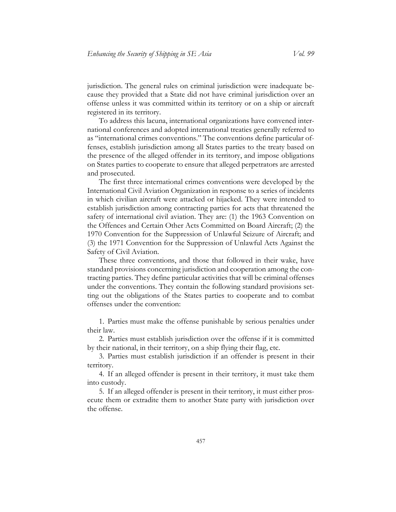jurisdiction. The general rules on criminal jurisdiction were inadequate because they provided that a State did not have criminal jurisdiction over an offense unless it was committed within its territory or on a ship or aircraft registered in its territory.

To address this lacuna, international organizations have convened international conferences and adopted international treaties generally referred to as "international crimes conventions." The conventions define particular offenses, establish jurisdiction among all States parties to the treaty based on the presence of the alleged offender in its territory, and impose obligations on States parties to cooperate to ensure that alleged perpetrators are arrested and prosecuted.

The first three international crimes conventions were developed by the International Civil Aviation Organization in response to a series of incidents in which civilian aircraft were attacked or hijacked. They were intended to establish jurisdiction among contracting parties for acts that threatened the safety of international civil aviation. They are: (1) the 1963 Convention on the Offences and Certain Other Acts Committed on Board Aircraft; (2) the 1970 Convention for the Suppression of Unlawful Seizure of Aircraft; and (3) the 1971 Convention for the Suppression of Unlawful Acts Against the Safety of Civil Aviation.

These three conventions, and those that followed in their wake, have standard provisions concerning jurisdiction and cooperation among the contracting parties. They define particular activities that will be criminal offenses under the conventions. They contain the following standard provisions setting out the obligations of the States parties to cooperate and to combat offenses under the convention:

1. Parties must make the offense punishable by serious penalties under their law.

2. Parties must establish jurisdiction over the offense if it is committed by their national, in their territory, on a ship flying their flag, etc.

3. Parties must establish jurisdiction if an offender is present in their territory.

4. If an alleged offender is present in their territory, it must take them into custody.

5. If an alleged offender is present in their territory, it must either prosecute them or extradite them to another State party with jurisdiction over the offense.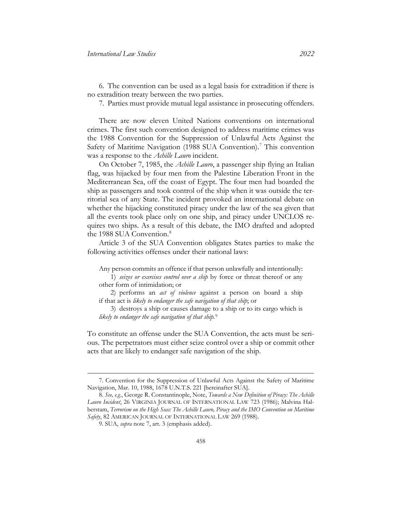6. The convention can be used as a legal basis for extradition if there is no extradition treaty between the two parties.

<span id="page-6-0"></span>7. Parties must provide mutual legal assistance in prosecuting offenders.

There are now eleven United Nations conventions on international crimes. The first such convention designed to address maritime crimes was the 1988 Convention for the Suppression of Unlawful Acts Against the Safety of Maritime Navigation (1988 SUA Convention).<sup>[7](#page-6-1)</sup> This convention was a response to the *Achille Lauro* incident.

On October 7, 1985, the *Achille Lauro*, a passenger ship flying an Italian flag, was hijacked by four men from the Palestine Liberation Front in the Mediterranean Sea, off the coast of Egypt. The four men had boarded the ship as passengers and took control of the ship when it was outside the territorial sea of any State. The incident provoked an international debate on whether the hijacking constituted piracy under the law of the sea given that all the events took place only on one ship, and piracy under UNCLOS requires two ships. As a result of this debate, the IMO drafted and adopted the 19[8](#page-6-2)8 SUA Convention.<sup>8</sup>

Article 3 of the SUA Convention obligates States parties to make the following activities offenses under their national laws:

Any person commits an offence if that person unlawfully and intentionally:

1) *seizes or exercises control over a ship* by force or threat thereof or any other form of intimidation; or

2) performs an *act of violence* against a person on board a ship if that act is *likely to endanger the safe navigation of that ship*; or

3) destroys a ship or causes damage to a ship or to its cargo which is *likely to endanger the safe navigation of that ship.*[9](#page-6-3)

To constitute an offense under the SUA Convention, the acts must be serious. The perpetrators must either seize control over a ship or commit other acts that are likely to endanger safe navigation of the ship.

<span id="page-6-1"></span><sup>7.</sup> Convention for the Suppression of Unlawful Acts Against the Safety of Maritime Navigation, Mar. 10, 1988, 1678 U.N.T.S. 221 [hereinafter SUA].

<span id="page-6-3"></span><span id="page-6-2"></span><sup>8.</sup> *See, e.g.*, George R. Constantinople, Note, *Towards a New Definition of Piracy: The Achille Lauro Incident*, 26 VIRGINIA JOURNAL OF INTERNATIONAL LAW 723 (1986); Malvina Halberstam, *Terrorism on the High Seas: The Achille Lauro, Piracy and the IMO Convention on Maritime Safety*, 82 AMERICAN JOURNAL OF INTERNATIONAL LAW 269 (1988).

<sup>9.</sup> SUA, *supra* note [7,](#page-6-0) art. 3 (emphasis added).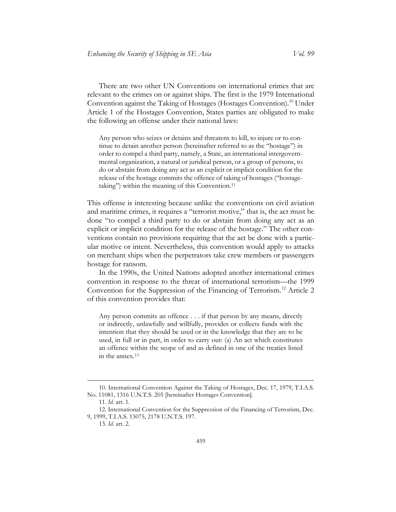There are two other UN Conventions on international crimes that are relevant to the crimes on or against ships. The first is the 1979 International Convention against the Taking of Hostages (Hostages Convention).[10](#page-7-0) Under Article 1 of the Hostages Convention, States parties are obligated to make the following an offense under their national laws:

Any person who seizes or detains and threatens to kill, to injure or to continue to detain another person (hereinafter referred to as the "hostage") in order to compel a third party, namely, a State, an international intergovernmental organization, a natural or juridical person, or a group of persons, to do or abstain from doing any act as an explicit or implicit condition for the release of the hostage commits the offence of taking of hostages ("hostagetaking") within the meaning of this Convention.[11](#page-7-1)

This offense is interesting because unlike the conventions on civil aviation and maritime crimes, it requires a "terrorist motive," that is, the act must be done "to compel a third party to do or abstain from doing any act as an explicit or implicit condition for the release of the hostage." The other conventions contain no provisions requiring that the act be done with a particular motive or intent. Nevertheless, this convention would apply to attacks on merchant ships when the perpetrators take crew members or passengers hostage for ransom.

In the 1990s, the United Nations adopted another international crimes convention in response to the threat of international terrorism—the 1999 Convention for the Suppression of the Financing of Terrorism. [12](#page-7-2) Article 2 of this convention provides that:

Any person commits an offence . . . if that person by any means, directly or indirectly, unlawfully and willfully, provides or collects funds with the intention that they should be used or in the knowledge that they are to be used, in full or in part, in order to carry out: (a) An act which constitutes an offence within the scope of and as defined in one of the treaties listed in the annex.[13](#page-7-3)

<span id="page-7-0"></span><sup>10.</sup> International Convention Against the Taking of Hostages, Dec. 17, 1979, T.I.A.S. No. 11081, 1316 U.N.T.S. 205 [hereinafter Hostages Convention].

<sup>11.</sup> *Id*. art. 1.

<span id="page-7-3"></span><span id="page-7-2"></span><span id="page-7-1"></span><sup>12.</sup> International Convention for the Suppression of the Financing of Terrorism, Dec. 9, 1999, T.I.A.S. 13075, 2178 U.N.T.S. 197.

<sup>13.</sup> *Id*. art. 2.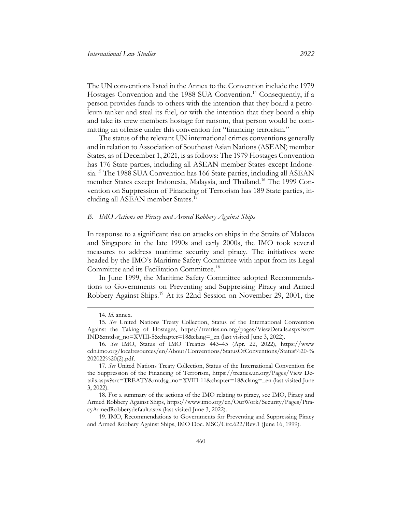The UN conventions listed in the Annex to the Convention include the 1979 Hostages Convention and the 1988 SUA Convention.<sup>[14](#page-8-1)</sup> Consequently, if a person provides funds to others with the intention that they board a petroleum tanker and steal its fuel, or with the intention that they board a ship and take its crew members hostage for ransom, that person would be committing an offense under this convention for "financing terrorism."

The status of the relevant UN international crimes conventions generally and in relation to Association of Southeast Asian Nations (ASEAN) member States, as of December 1, 2021, is as follows: The 1979 Hostages Convention has 176 State parties, including all ASEAN member States except Indonesia.[15](#page-8-2) The 1988 SUA Convention has 166 State parties, including all ASEAN member States except Indonesia, Malaysia, and Thailand. [16](#page-8-3) The 1999 Convention on Suppression of Financing of Terrorism has 189 State parties, in-cluding all ASEAN member States.<sup>[17](#page-8-4)</sup>

#### <span id="page-8-7"></span><span id="page-8-0"></span>*B. IMO Actions on Piracy and Armed Robbery Against Ships*

In response to a significant rise on attacks on ships in the Straits of Malacca and Singapore in the late 1990s and early 2000s, the IMO took several measures to address maritime security and piracy. The initiatives were headed by the IMO's Maritime Safety Committee with input from its Legal Committee and its Facilitation Committee.<sup>[18](#page-8-5)</sup>

In June 1999, the Maritime Safety Committee adopted Recommendations to Governments on Preventing and Suppressing Piracy and Armed Robbery Against Ships.[19](#page-8-6) At its 22nd Session on November 29, 2001, the

<sup>14.</sup> *Id*. annex.

<span id="page-8-2"></span><span id="page-8-1"></span><sup>15.</sup> *See* United Nations Treaty Collection, Status of the International Convention Against the Taking of Hostages, [https://treaties.un.org/pages/ViewDetails.aspx?src=](https://treaties.un.org/pages/ViewDetails.aspx?src=IND&mtdsg_no=XVIII-5&chapter=18&clang=_en)  [IND&mtdsg\\_no=XVIII-5&chapter=18&clang=\\_en](https://treaties.un.org/pages/ViewDetails.aspx?src=IND&mtdsg_no=XVIII-5&chapter=18&clang=_en) (last visited June 3, 2022).

<span id="page-8-3"></span><sup>16.</sup> *See* IMO, Status of IMO Treaties 443–45 (Apr. 22, 2022), [https://www](https://wwwcdn.imo.org/localresources/en/About/Conventions/StatusOfConventions/Status%20-%202022%20(2).pdf)  [cdn.imo.org/localresources/en/About/Conventions/StatusOfConventions/Status%20-%](https://wwwcdn.imo.org/localresources/en/About/Conventions/StatusOfConventions/Status%20-%202022%20(2).pdf)  [202022%20\(2\).pdf.](https://wwwcdn.imo.org/localresources/en/About/Conventions/StatusOfConventions/Status%20-%202022%20(2).pdf)

<span id="page-8-4"></span><sup>17.</sup> *See* United Nations Treaty Collection, Status of the International Convention for the Suppression of the Financing of Terrorism, [https://treaties.un.org/Pages/View De](https://treaties.un.org/Pages/View%20Details.aspx?src=TREATY&mtdsg_no=XVIII-11&chapter=18&clang=_en)[tails.aspx?src=TREATY&mtdsg\\_no=XVIII-11&chapter=18&clang=\\_en](https://treaties.un.org/Pages/View%20Details.aspx?src=TREATY&mtdsg_no=XVIII-11&chapter=18&clang=_en) (last visited June 3, 2022).

<span id="page-8-5"></span><sup>18.</sup> For a summary of the actions of the IMO relating to piracy, see IMO, Piracy and Armed Robbery Against Ships, [https://www.imo.org/en/OurWork/Security/Pages/Pira](https://www.imo.org/en/OurWork/Security/Pages/PiracyArmedRobberydefault.aspx)[cyArmedRobberydefault.aspx](https://www.imo.org/en/OurWork/Security/Pages/PiracyArmedRobberydefault.aspx) (last visited June 3, 2022).

<span id="page-8-6"></span><sup>19.</sup> IMO, Recommendations to Governments for Preventing and Suppressing Piracy and Armed Robbery Against Ships, IMO Doc. MSC/Circ.622/Rev.1 (June 16, 1999).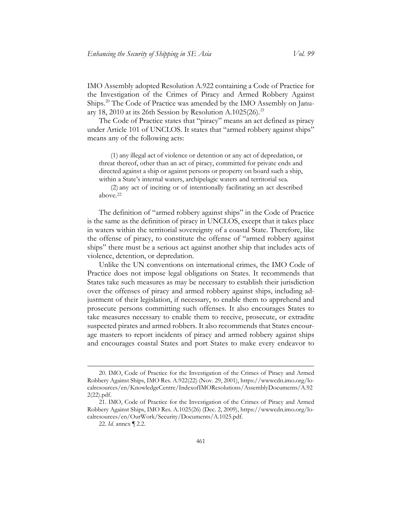Ships.[20](#page-9-0) The Code of Practice was amended by the IMO Assembly on Janu-ary 18, 2010 at its 26th Session by Resolution A.1025(26).<sup>[21](#page-9-1)</sup> The Code of Practice states that "piracy" means an act defined as piracy

under Article 101 of UNCLOS. It states that "armed robbery against ships" means any of the following acts:

(1) any illegal act of violence or detention or any act of depredation, or threat thereof, other than an act of piracy, committed for private ends and directed against a ship or against persons or property on board such a ship, within a State's internal waters, archipelagic waters and territorial sea.

(2) any act of inciting or of intentionally facilitating an act described above.[22](#page-9-2)

The definition of "armed robbery against ships" in the Code of Practice is the same as the definition of piracy in UNCLOS, except that it takes place in waters within the territorial sovereignty of a coastal State. Therefore, like the offense of piracy, to constitute the offense of "armed robbery against ships" there must be a serious act against another ship that includes acts of violence, detention, or depredation.

Unlike the UN conventions on international crimes, the IMO Code of Practice does not impose legal obligations on States. It recommends that States take such measures as may be necessary to establish their jurisdiction over the offenses of piracy and armed robbery against ships, including adjustment of their legislation, if necessary, to enable them to apprehend and prosecute persons committing such offenses. It also encourages States to take measures necessary to enable them to receive, prosecute, or extradite suspected pirates and armed robbers. It also recommends that States encourage masters to report incidents of piracy and armed robbery against ships and encourages coastal States and port States to make every endeavor to

<span id="page-9-0"></span><sup>20.</sup> IMO, Code of Practice for the Investigation of the Crimes of Piracy and Armed Robbery Against Ships, IMO Res. A.922(22) (Nov. 29, 2001), [https://wwwcdn.imo.org/lo](https://wwwcdn.imo.org/localresources/en/KnowledgeCentre/IndexofIMOResolutions/AssemblyDocuments/A.922(22).pdf)[calresources/en/KnowledgeCentre/IndexofIMOResolutions/AssemblyDocuments/A.92](https://wwwcdn.imo.org/localresources/en/KnowledgeCentre/IndexofIMOResolutions/AssemblyDocuments/A.922(22).pdf)  [2\(22\).pdf.](https://wwwcdn.imo.org/localresources/en/KnowledgeCentre/IndexofIMOResolutions/AssemblyDocuments/A.922(22).pdf)

<span id="page-9-2"></span><span id="page-9-1"></span><sup>21.</sup> IMO, Code of Practice for the Investigation of the Crimes of Piracy and Armed Robbery Against Ships, IMO Res. A.1025(26) (Dec. 2, 2009), https://wwwcdn.imo.org/localresources/en/OurWork/Security/Documents/A.1025.pdf.

<sup>22.</sup> *Id.* annex ¶ 2.2.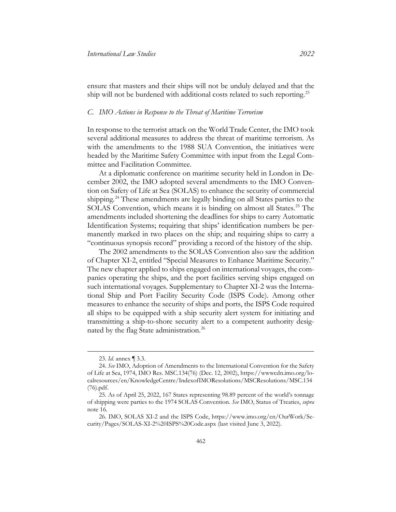ensure that masters and their ships will not be unduly delayed and that the ship will not be burdened with additional costs related to such reporting.<sup>[23](#page-10-1)</sup>

#### <span id="page-10-0"></span>*C. IMO Actions in Response to the Threat of Maritime Terrorism*

In response to the terrorist attack on the World Trade Center, the IMO took several additional measures to address the threat of maritime terrorism. As with the amendments to the 1988 SUA Convention, the initiatives were headed by the Maritime Safety Committee with input from the Legal Committee and Facilitation Committee.

At a diplomatic conference on maritime security held in London in December 2002, the IMO adopted several amendments to the IMO Convention on Safety of Life at Sea (SOLAS) to enhance the security of commercial shipping.<sup>[24](#page-10-2)</sup> These amendments are legally binding on all States parties to the SOLAS Convention, which means it is binding on almost all States.<sup>[25](#page-10-3)</sup> The amendments included shortening the deadlines for ships to carry Automatic Identification Systems; requiring that ships' identification numbers be permanently marked in two places on the ship; and requiring ships to carry a "continuous synopsis record" providing a record of the history of the ship.

The 2002 amendments to the SOLAS Convention also saw the addition of Chapter XI-2, entitled "Special Measures to Enhance Maritime Security." The new chapter applied to ships engaged on international voyages, the companies operating the ships, and the port facilities serving ships engaged on such international voyages. Supplementary to Chapter XI-2 was the International Ship and Port Facility Security Code (ISPS Code). Among other measures to enhance the security of ships and ports, the ISPS Code required all ships to be equipped with a ship security alert system for initiating and transmitting a ship-to-shore security alert to a competent authority desig-nated by the flag State administration.<sup>[26](#page-10-4)</sup>

<sup>23.</sup> *Id*. annex ¶ 3.3.

<span id="page-10-2"></span><span id="page-10-1"></span><sup>24.</sup> *See* IMO, Adoption of Amendments to the International Convention for the Safety of Life at Sea, 1974, IMO Res. MSC.134(76) (Dec. 12, 2002), https://wwwcdn.imo.org/localresources/en/KnowledgeCentre/IndexofIMOResolutions/MSCResolutions/MSC.134 (76).pdf.

<span id="page-10-3"></span><sup>25.</sup> As of April 25, 2022, 167 States representing 98.89 percent of the world's tonnage of shipping were parties to the 1974 SOLAS Convention. *See* IMO, Status of Treaties, *supra* note [16.](#page-8-7)

<span id="page-10-4"></span><sup>26.</sup> IMO, SOLAS XI-2 and the ISPS Code, [https://www.imo.org/en/OurWork/Se](https://www.imo.org/en/OurWork/Security/Pages/SOLAS-XI-2%20ISPS%20Code.aspx)[curity/Pages/SOLAS-XI-2%20ISPS%20Code.aspx](https://www.imo.org/en/OurWork/Security/Pages/SOLAS-XI-2%20ISPS%20Code.aspx) (last visited June 3, 2022).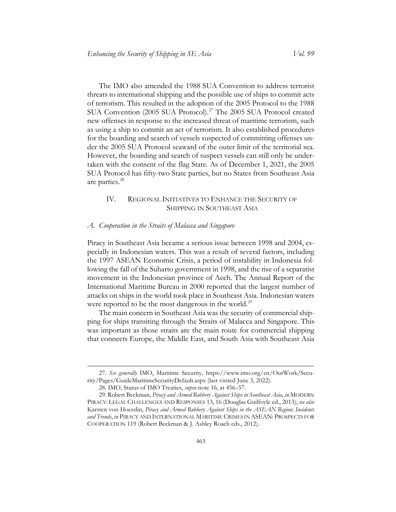The IMO also amended the 1988 SUA Convention to address terrorist threats to international shipping and the possible use of ships to commit acts of terrorism. This resulted in the adoption of the 2005 Protocol to the 1988 SUA Convention (2005 SUA Protocol).<sup>[27](#page-11-2)</sup> The 2005 SUA Protocol created new offenses in response to the increased threat of maritime terrorism, such as using a ship to commit an act of terrorism. It also established procedures for the boarding and search of vessels suspected of committing offenses under the 2005 SUA Protocol seaward of the outer limit of the territorial sea. However, the boarding and search of suspect vessels can still only be undertaken with the consent of the flag State. As of December 1, 2021, the 2005 SUA Protocol has fifty-two State parties, but no States from Southeast Asia are parties. [28](#page-11-3)

# <span id="page-11-0"></span>IV. REGIONAL INITIATIVES TO ENHANCE THE SECURITY OF SHIPPING IN SOUTHEAST ASIA

#### <span id="page-11-1"></span>*A. Cooperation in the Straits of Malacca and Singapore*

Piracy in Southeast Asia became a serious issue between 1998 and 2004, especially in Indonesian waters. This was a result of several factors, including the 1997 ASEAN Economic Crisis, a period of instability in Indonesia following the fall of the Suharto government in 1998, and the rise of a separatist movement in the Indonesian province of Aceh. The Annual Report of the International Maritime Bureau in 2000 reported that the largest number of attacks on ships in the world took place in Southeast Asia. Indonesian waters were reported to be the most dangerous in the world.<sup>[29](#page-11-4)</sup>

The main concern in Southeast Asia was the security of commercial shipping for ships transiting through the Straits of Malacca and Singapore. This was important as those straits are the main route for commercial shipping that connects Europe, the Middle East, and South Asia with Southeast Asia

<span id="page-11-2"></span><sup>27.</sup> *See generally* IMO, Maritime Security*,* [https://www.imo.org/en/OurWork/Secu](https://www.imo.org/en/OurWork/Security/Pages/GuideMaritimeSecurityDefault.aspx)[rity/Pages/GuideMaritimeSecurityDefault.aspx](https://www.imo.org/en/OurWork/Security/Pages/GuideMaritimeSecurityDefault.aspx) (last visited June 3, 2022).

<sup>28.</sup> IMO, Status of IMO Treaties, *supra* note [16,](#page-8-7) at 456–57.

<span id="page-11-4"></span><span id="page-11-3"></span><sup>29.</sup> Robert Beckman, *Piracy and Armed Robbery Against Ships in Southeast Asia*, *in* MODERN PIRACY: LEGAL CHALLENGES AND RESPONSES 13, 16 (Douglas Guilfoyle ed., 2013); *see also*  Karsten von Hoesslin, *Piracy and Armed Robbery Against Ships in the ASEAN Region: Incidents and Trends*, *in* PIRACY AND INTERNATIONAL MARITIME CRIMES IN ASEAN: PROSPECTS FOR COOPERATION 119 (Robert Beckman & J. Ashley Roach eds., 2012).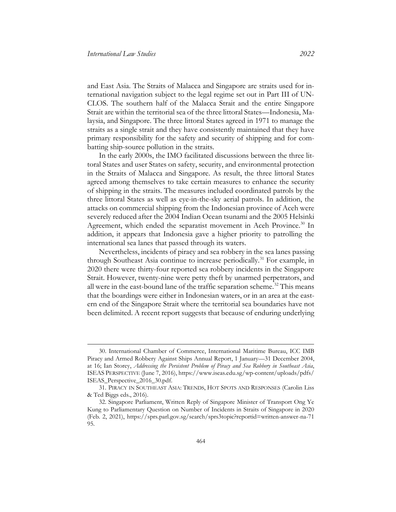and East Asia. The Straits of Malacca and Singapore are straits used for international navigation subject to the legal regime set out in Part III of UN-CLOS. The southern half of the Malacca Strait and the entire Singapore Strait are within the territorial sea of the three littoral States—Indonesia, Malaysia, and Singapore. The three littoral States agreed in 1971 to manage the straits as a single strait and they have consistently maintained that they have primary responsibility for the safety and security of shipping and for combatting ship-source pollution in the straits.

In the early 2000s, the IMO facilitated discussions between the three littoral States and user States on safety, security, and environmental protection in the Straits of Malacca and Singapore. As result, the three littoral States agreed among themselves to take certain measures to enhance the security of shipping in the straits. The measures included coordinated patrols by the three littoral States as well as eye-in-the-sky aerial patrols. In addition, the attacks on commercial shipping from the Indonesian province of Aceh were severely reduced after the 2004 Indian Ocean tsunami and the 2005 Helsinki Agreement, which ended the separatist movement in Aceh Province.<sup>[30](#page-12-0)</sup> In addition, it appears that Indonesia gave a higher priority to patrolling the international sea lanes that passed through its waters.

Nevertheless, incidents of piracy and sea robbery in the sea lanes passing through Southeast Asia continue to increase periodically.<sup>[31](#page-12-1)</sup> For example, in 2020 there were thirty-four reported sea robbery incidents in the Singapore Strait. However, twenty-nine were petty theft by unarmed perpetrators, and all were in the east-bound lane of the traffic separation scheme.<sup>[32](#page-12-2)</sup> This means that the boardings were either in Indonesian waters, or in an area at the eastern end of the Singapore Strait where the territorial sea boundaries have not been delimited. A recent report suggests that because of enduring underlying

<span id="page-12-0"></span><sup>30.</sup> International Chamber of Commerce, International Maritime Bureau, ICC IMB Piracy and Armed Robbery Against Ships Annual Report, 1 January—31 December 2004, at 16; Ian Storey, *Addressing the Persistent Problem of Piracy and Sea Robbery in Southeast Asia*, ISEAS PERSPECTIVE (June 7, 2016), https://www.iseas.edu.sg/wp-content/uploads/pdfs/ ISEAS\_Perspective\_2016\_30.pdf.

<span id="page-12-1"></span><sup>31.</sup> PIRACY IN SOUTHEAST ASIA: TRENDS, HOT SPOTS AND RESPONSES (Carolin Liss & Ted Biggs eds., 2016).

<span id="page-12-2"></span><sup>32.</sup> Singapore Parliament, Written Reply of Singapore Minister of Transport Ong Ye Kung to Parliamentary Question on Number of Incidents in Straits of Singapore in 2020 (Feb. 2, 2021), [https://sprs.parl.gov.sg/search/sprs3topic?reportid=written-answer-na-71](https://sprs.parl.gov.sg/search/sprs3topic?reportid=written-answer-na-7195)  [95.](https://sprs.parl.gov.sg/search/sprs3topic?reportid=written-answer-na-7195)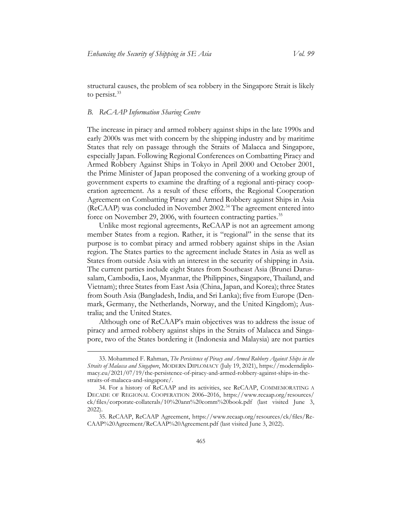structural causes, the problem of sea robbery in the Singapore Strait is likely to persist.<sup>[33](#page-13-1)</sup>

#### <span id="page-13-0"></span>*B. ReCAAP Information Sharing Centre*

The increase in piracy and armed robbery against ships in the late 1990s and early 2000s was met with concern by the shipping industry and by maritime States that rely on passage through the Straits of Malacca and Singapore, especially Japan. Following Regional Conferences on Combatting Piracy and Armed Robbery Against Ships in Tokyo in April 2000 and October 2001, the Prime Minister of Japan proposed the convening of a working group of government experts to examine the drafting of a regional anti-piracy cooperation agreement. As a result of these efforts, the Regional Cooperation Agreement on Combatting Piracy and Armed Robbery against Ships in Asia (ReCAAP) was concluded in November 2002.[34](#page-13-2) The agreement entered into force on November 29, 2006, with fourteen contracting parties.<sup>[35](#page-13-3)</sup>

Unlike most regional agreements, ReCAAP is not an agreement among member States from a region. Rather, it is "regional" in the sense that its purpose is to combat piracy and armed robbery against ships in the Asian region. The States parties to the agreement include States in Asia as well as States from outside Asia with an interest in the security of shipping in Asia. The current parties include eight States from Southeast Asia (Brunei Darussalam, Cambodia, Laos, Myanmar, the Philippines, Singapore, Thailand, and Vietnam); three States from East Asia (China, Japan, and Korea); three States from South Asia (Bangladesh, India, and Sri Lanka); five from Europe (Denmark, Germany, the Netherlands, Norway, and the United Kingdom); Australia; and the United States.

Although one of ReCAAP's main objectives was to address the issue of piracy and armed robbery against ships in the Straits of Malacca and Singapore, two of the States bordering it (Indonesia and Malaysia) are not parties

<span id="page-13-1"></span><sup>33.</sup> Mohammed F. Rahman, *The Persistence of Piracy and Armed Robbery Against Ships in the Straits of Malacca and Singapore*, MODERN DIPLOMACY (July 19, 2021), [https://moderndiplo](https://moderndiplomacy.eu/2021/07/19/the-persistence-of-piracy-and-armed-robbery-against-ships-in-the-straits-of-malacca-and-singapore/)[macy.eu/2021/07/19/the-persistence-of-piracy-and-armed-robbery-against-ships-in-the](https://moderndiplomacy.eu/2021/07/19/the-persistence-of-piracy-and-armed-robbery-against-ships-in-the-straits-of-malacca-and-singapore/)[straits-of-malacca-and-singapore/.](https://moderndiplomacy.eu/2021/07/19/the-persistence-of-piracy-and-armed-robbery-against-ships-in-the-straits-of-malacca-and-singapore/)

<span id="page-13-2"></span><sup>34.</sup> For a history of ReCAAP and its activities, see ReCAAP, COMMEMORATING A DECADE OF REGIONAL COOPERATION 2006–2016, [https://www.recaap.org/resources/](https://www.recaap.org/resources/ck/files/corporate-collaterals/10%20ann%20comm%20book.pdf)  [ck/files/corporate-collaterals/10%20ann%20comm%20book.pdf](https://www.recaap.org/resources/ck/files/corporate-collaterals/10%20ann%20comm%20book.pdf) (last visited June 3, 2022).

<span id="page-13-3"></span><sup>35.</sup> ReCAAP, ReCAAP Agreement, [https://www.recaap.org/resources/ck/files/Re-](https://www.recaap.org/resources/ck/files/ReCAAP%20Agreement/ReCAAP%20Agreement.pdf)[CAAP%20Agreement/ReCAAP%20Agreement.pdf](https://www.recaap.org/resources/ck/files/ReCAAP%20Agreement/ReCAAP%20Agreement.pdf) (last visited June 3, 2022).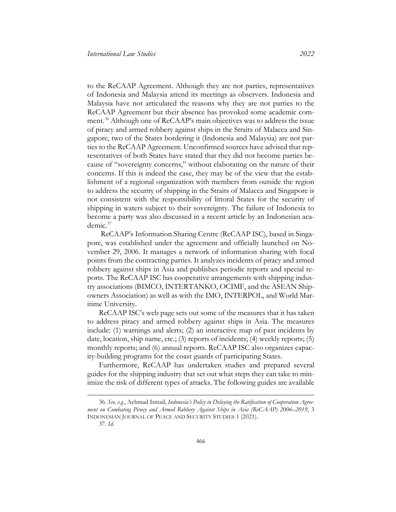to the ReCAAP Agreement. Although they are not parties, representatives of Indonesia and Malaysia attend its meetings as observers. Indonesia and Malaysia have not articulated the reasons why they are not parties to the ReCAAP Agreement but their absence has provoked some academic com-ment.<sup>[36](#page-14-0)</sup> Although one of ReCAAP's main objectives was to address the issue of piracy and armed robbery against ships in the Straits of Malacca and Singapore, two of the States bordering it (Indonesia and Malaysia) are not parties to the ReCAAP Agreement. Unconfirmed sources have advised that representatives of both States have stated that they did not become parties because of "sovereignty concerns," without elaborating on the nature of their concerns. If this is indeed the case, they may be of the view that the establishment of a regional organization with members from outside the region to address the security of shipping in the Straits of Malacca and Singapore is not consistent with the responsibility of littoral States for the security of shipping in waters subject to their sovereignty. The failure of Indonesia to become a party was also discussed in a recent article by an Indonesian academic.[37](#page-14-1)

ReCAAP's Information Sharing Centre (ReCAAP ISC), based in Singapore, was established under the agreement and officially launched on November 29, 2006. It manages a network of information sharing with focal points from the contracting parties. It analyzes incidents of piracy and armed robbery against ships in Asia and publishes periodic reports and special reports. The ReCAAP ISC has cooperative arrangements with shipping industry associations (BIMCO, INTERTANKO, OCIMF, and the ASEAN Shipowners Association) as well as with the IMO, INTERPOL, and World Maritime University.

ReCAAP ISC's web page sets out some of the measures that it has taken to address piracy and armed robbery against ships in Asia. The measures include: (1) warnings and alerts; (2) an interactive map of past incidents by date, location, ship name, etc.; (3) reports of incidents; (4) weekly reports; (5) monthly reports; and (6) annual reports. ReCAAP ISC also organizes capacity-building programs for the coast guards of participating States.

Furthermore, ReCAAP has undertaken studies and prepared several guides for the shipping industry that set out what steps they can take to minimize the risk of different types of attacks. The following guides are available

<span id="page-14-1"></span><span id="page-14-0"></span><sup>36.</sup> *See, e.g.*, Achmad Ismail, *Indonesia's Policy in Delaying the Ratification of Cooperation Agreement on Combating Piracy and Armed Robbery Against Ships in Asia (ReCAAP) 2006–2019*, 3 INDONESIAN JOURNAL OF PEACE AND SECURITY STUDIES 1 (2021).

<sup>37.</sup> *Id.*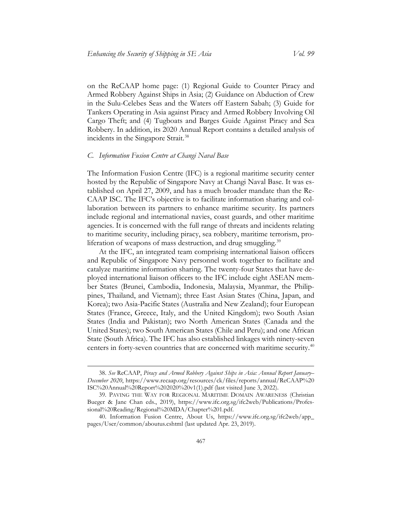on the ReCAAP home page: (1) Regional Guide to Counter Piracy and Armed Robbery Against Ships in Asia; (2) Guidance on Abduction of Crew in the Sulu-Celebes Seas and the Waters off Eastern Sabah; (3) Guide for Tankers Operating in Asia against Piracy and Armed Robbery Involving Oil Cargo Theft; and (4) Tugboats and Barges Guide Against Piracy and Sea Robbery. In addition, its 2020 Annual Report contains a detailed analysis of incidents in the Singapore Strait.<sup>[38](#page-15-1)</sup>

#### <span id="page-15-0"></span>*C. Information Fusion Centre at Changi Naval Base*

The Information Fusion Centre (IFC) is a regional maritime security center hosted by the Republic of Singapore Navy at Changi Naval Base. It was established on April 27, 2009, and has a much broader mandate than the Re-CAAP ISC. The IFC's objective is to facilitate information sharing and collaboration between its partners to enhance maritime security. Its partners include regional and international navies, coast guards, and other maritime agencies. It is concerned with the full range of threats and incidents relating to maritime security, including piracy, sea robbery, maritime terrorism, pro-liferation of weapons of mass destruction, and drug smuggling.<sup>[39](#page-15-2)</sup>

At the IFC, an integrated team comprising international liaison officers and Republic of Singapore Navy personnel work together to facilitate and catalyze maritime information sharing. The twenty-four States that have deployed international liaison officers to the IFC include eight ASEAN member States (Brunei, Cambodia, Indonesia, Malaysia, Myanmar, the Philippines, Thailand, and Vietnam); three East Asian States (China, Japan, and Korea); two Asia-Pacific States (Australia and New Zealand); four European States (France, Greece, Italy, and the United Kingdom); two South Asian States (India and Pakistan); two North American States (Canada and the United States); two South American States (Chile and Peru); and one African State (South Africa). The IFC has also established linkages with ninety-seven centers in forty-seven countries that are concerned with maritime security.<sup>[40](#page-15-3)</sup>

<span id="page-15-1"></span><sup>38.</sup> *See* ReCAAP, *Piracy and Armed Robbery Against Ships in Asia: Annual Report January– December 2020*, [https://www.recaap.org/resources/ck/files/reports/annual/ReCAAP%20](https://www.recaap.org/resources/ck/files/reports/annual/ReCAAP%20ISC%20Annual%20Report%202020%20v1(1).pdf)  [ISC%20Annual%20Report%202020%20v1\(1\).pdf](https://www.recaap.org/resources/ck/files/reports/annual/ReCAAP%20ISC%20Annual%20Report%202020%20v1(1).pdf) (last visited June 3, 2022).

<span id="page-15-2"></span><sup>39.</sup> PAVING THE WAY FOR REGIONAL MARITIME DOMAIN AWARENESS (Christian Bueger & Jane Chan eds., 2019), [https://www.ifc.org.sg/ifc2web/Publications/Profes](https://www.ifc.org.sg/ifc2web/Publications/Professional%20Reading/Regional%20MDA/Chapter%201.pdf)[sional%20Reading/Regional%20MDA/Chapter%201.pdf.](https://www.ifc.org.sg/ifc2web/Publications/Professional%20Reading/Regional%20MDA/Chapter%201.pdf)

<span id="page-15-3"></span><sup>40.</sup> Information Fusion Centre, About Us, [https://www.ifc.org.sg/ifc2web/app\\_](https://www.ifc.org.sg/ifc2web/app_pages/User/common/aboutus.cshtml)  [pages/User/common/aboutus.cshtml](https://www.ifc.org.sg/ifc2web/app_pages/User/common/aboutus.cshtml) (last updated Apr. 23, 2019).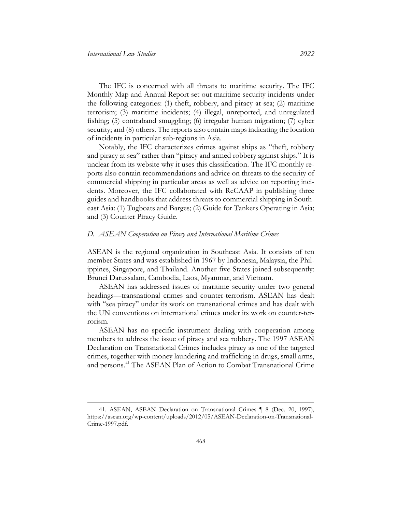The IFC is concerned with all threats to maritime security. The IFC Monthly Map and Annual Report set out maritime security incidents under the following categories: (1) theft, robbery, and piracy at sea; (2) maritime terrorism; (3) maritime incidents; (4) illegal, unreported, and unregulated fishing; (5) contraband smuggling; (6) irregular human migration; (7) cyber security; and (8) others. The reports also contain maps indicating the location of incidents in particular sub-regions in Asia.

Notably, the IFC characterizes crimes against ships as "theft, robbery and piracy at sea" rather than "piracy and armed robbery against ships." It is unclear from its website why it uses this classification. The IFC monthly reports also contain recommendations and advice on threats to the security of commercial shipping in particular areas as well as advice on reporting incidents. Moreover, the IFC collaborated with ReCAAP in publishing three guides and handbooks that address threats to commercial shipping in Southeast Asia: (1) Tugboats and Barges; (2) Guide for Tankers Operating in Asia; and (3) Counter Piracy Guide.

### <span id="page-16-0"></span>*D. ASEAN Cooperation on Piracy and International Maritime Crimes*

ASEAN is the regional organization in Southeast Asia. It consists of ten member States and was established in 1967 by Indonesia, Malaysia, the Philippines, Singapore, and Thailand. Another five States joined subsequently: Brunei Darussalam, Cambodia, Laos, Myanmar, and Vietnam.

ASEAN has addressed issues of maritime security under two general headings—transnational crimes and counter-terrorism. ASEAN has dealt with "sea piracy" under its work on transnational crimes and has dealt with the UN conventions on international crimes under its work on counter-terrorism.

ASEAN has no specific instrument dealing with cooperation among members to address the issue of piracy and sea robbery. The 1997 ASEAN Declaration on Transnational Crimes includes piracy as one of the targeted crimes, together with money laundering and trafficking in drugs, small arms, and persons.[41](#page-16-1) The ASEAN Plan of Action to Combat Transnational Crime

<span id="page-16-1"></span><sup>41.</sup> ASEAN, ASEAN Declaration on Transnational Crimes ¶ 8 (Dec. 20, 1997), [https://asean.org/wp-content/uploads/2012/05/ASEAN-Declaration-on-Transnational-](https://asean.org/wp-content/uploads/2012/05/ASEAN-Declaration-on-Transnational-Crime-1997.pdf)[Crime-1997.pdf.](https://asean.org/wp-content/uploads/2012/05/ASEAN-Declaration-on-Transnational-Crime-1997.pdf)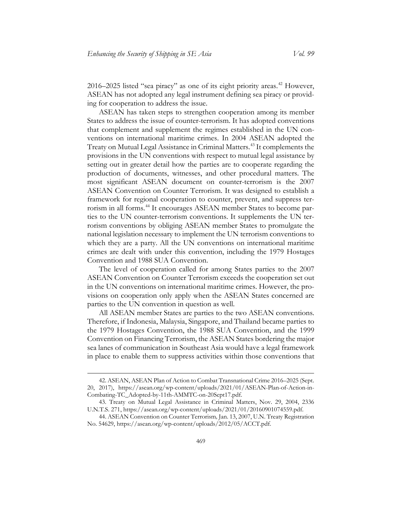$2016-2025$  listed "sea piracy" as one of its eight priority areas.<sup>[42](#page-17-0)</sup> However, ASEAN has not adopted any legal instrument defining sea piracy or providing for cooperation to address the issue.

ASEAN has taken steps to strengthen cooperation among its member States to address the issue of counter-terrorism. It has adopted conventions that complement and supplement the regimes established in the UN conventions on international maritime crimes. In 2004 ASEAN adopted the Treaty on Mutual Legal Assistance in Criminal Matters.<sup>[43](#page-17-1)</sup> It complements the provisions in the UN conventions with respect to mutual legal assistance by setting out in greater detail how the parties are to cooperate regarding the production of documents, witnesses, and other procedural matters. The most significant ASEAN document on counter-terrorism is the 2007 ASEAN Convention on Counter Terrorism. It was designed to establish a framework for regional cooperation to counter, prevent, and suppress ter-rorism in all forms.<sup>[44](#page-17-2)</sup> It encourages ASEAN member States to become parties to the UN counter-terrorism conventions. It supplements the UN terrorism conventions by obliging ASEAN member States to promulgate the national legislation necessary to implement the UN terrorism conventions to which they are a party. All the UN conventions on international maritime crimes are dealt with under this convention, including the 1979 Hostages Convention and 1988 SUA Convention.

The level of cooperation called for among States parties to the 2007 ASEAN Convention on Counter Terrorism exceeds the cooperation set out in the UN conventions on international maritime crimes. However, the provisions on cooperation only apply when the ASEAN States concerned are parties to the UN convention in question as well.

All ASEAN member States are parties to the two ASEAN conventions. Therefore, if Indonesia, Malaysia, Singapore, and Thailand became parties to the 1979 Hostages Convention, the 1988 SUA Convention, and the 1999 Convention on Financing Terrorism, the ASEAN States bordering the major sea lanes of communication in Southeast Asia would have a legal framework in place to enable them to suppress activities within those conventions that

<span id="page-17-0"></span><sup>42.</sup> ASEAN, ASEAN Plan of Action to Combat Transnational Crime 2016–2025 (Sept. 20, 2017), [https://asean.org/wp-content/uploads/2021/01/ASEAN-Plan-of-Action-in-](https://asean.org/wp-content/uploads/2021/01/ASEAN-Plan-of-Action-in-Combating-TC_Adopted-by-11th-AMMTC-on-20Sept17.pdf)[Combating-TC\\_Adopted-by-11th-AMMTC-on-20Sept17.pdf.](https://asean.org/wp-content/uploads/2021/01/ASEAN-Plan-of-Action-in-Combating-TC_Adopted-by-11th-AMMTC-on-20Sept17.pdf)

<span id="page-17-1"></span><sup>43.</sup> Treaty on Mutual Legal Assistance in Criminal Matters, Nov. 29, 2004, 2336 U.N.T.S. 271[, https://asean.org/wp-content/uploads/2021/01/20160901074559.pdf.](https://asean.org/wp-content/uploads/2021/01/20160901074559.pdf)

<span id="page-17-2"></span><sup>44.</sup> ASEAN Convention on Counter Terrorism*,* Jan. 13, 2007, U.N. Treaty Registration No. 54629, [https://asean.org/wp-content/uploads/2012/05/ACCT.pdf.](https://asean.org/wp-content/uploads/2012/05/ACCT.pdf)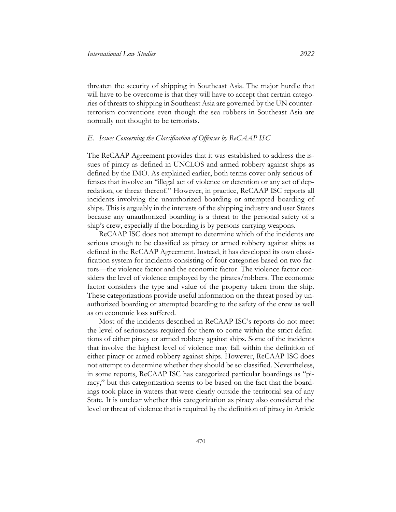threaten the security of shipping in Southeast Asia. The major hurdle that will have to be overcome is that they will have to accept that certain categories of threats to shipping in Southeast Asia are governed by the UN counterterrorism conventions even though the sea robbers in Southeast Asia are normally not thought to be terrorists.

#### <span id="page-18-0"></span>*E. Issues Concerning the Classification of Offenses by ReCAAP ISC*

The ReCAAP Agreement provides that it was established to address the issues of piracy as defined in UNCLOS and armed robbery against ships as defined by the IMO. As explained earlier, both terms cover only serious offenses that involve an "illegal act of violence or detention or any act of depredation, or threat thereof." However, in practice, ReCAAP ISC reports all incidents involving the unauthorized boarding or attempted boarding of ships. This is arguably in the interests of the shipping industry and user States because any unauthorized boarding is a threat to the personal safety of a ship's crew, especially if the boarding is by persons carrying weapons.

ReCAAP ISC does not attempt to determine which of the incidents are serious enough to be classified as piracy or armed robbery against ships as defined in the ReCAAP Agreement. Instead, it has developed its own classification system for incidents consisting of four categories based on two factors—the violence factor and the economic factor. The violence factor considers the level of violence employed by the pirates/robbers. The economic factor considers the type and value of the property taken from the ship. These categorizations provide useful information on the threat posed by unauthorized boarding or attempted boarding to the safety of the crew as well as on economic loss suffered.

Most of the incidents described in ReCAAP ISC's reports do not meet the level of seriousness required for them to come within the strict definitions of either piracy or armed robbery against ships. Some of the incidents that involve the highest level of violence may fall within the definition of either piracy or armed robbery against ships. However, ReCAAP ISC does not attempt to determine whether they should be so classified. Nevertheless, in some reports, ReCAAP ISC has categorized particular boardings as "piracy," but this categorization seems to be based on the fact that the boardings took place in waters that were clearly outside the territorial sea of any State. It is unclear whether this categorization as piracy also considered the level or threat of violence that is required by the definition of piracy in Article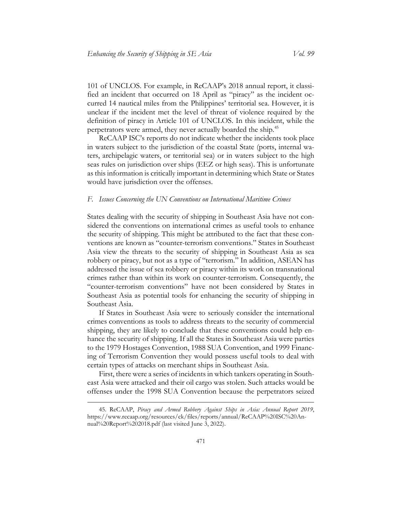101 of UNCLOS. For example, in ReCAAP's 2018 annual report, it classified an incident that occurred on 18 April as "piracy" as the incident occurred 14 nautical miles from the Philippines' territorial sea. However, it is unclear if the incident met the level of threat of violence required by the definition of piracy in Article 101 of UNCLOS. In this incident, while the perpetrators were armed, they never actually boarded the ship.[45](#page-19-1)

ReCAAP ISC's reports do not indicate whether the incidents took place in waters subject to the jurisdiction of the coastal State (ports, internal waters, archipelagic waters, or territorial sea) or in waters subject to the high seas rules on jurisdiction over ships (EEZ or high seas). This is unfortunate as this information is critically important in determining which State or States would have jurisdiction over the offenses.

#### <span id="page-19-0"></span>*F. Issues Concerning the UN Conventions on International Maritime Crimes*

States dealing with the security of shipping in Southeast Asia have not considered the conventions on international crimes as useful tools to enhance the security of shipping. This might be attributed to the fact that these conventions are known as "counter-terrorism conventions." States in Southeast Asia view the threats to the security of shipping in Southeast Asia as sea robbery or piracy, but not as a type of "terrorism." In addition, ASEAN has addressed the issue of sea robbery or piracy within its work on transnational crimes rather than within its work on counter-terrorism. Consequently, the "counter-terrorism conventions" have not been considered by States in Southeast Asia as potential tools for enhancing the security of shipping in Southeast Asia.

If States in Southeast Asia were to seriously consider the international crimes conventions as tools to address threats to the security of commercial shipping, they are likely to conclude that these conventions could help enhance the security of shipping. If all the States in Southeast Asia were parties to the 1979 Hostages Convention, 1988 SUA Convention, and 1999 Financing of Terrorism Convention they would possess useful tools to deal with certain types of attacks on merchant ships in Southeast Asia.

First, there were a series of incidents in which tankers operating in Southeast Asia were attacked and their oil cargo was stolen. Such attacks would be offenses under the 1998 SUA Convention because the perpetrators seized

<span id="page-19-1"></span><sup>45.</sup> ReCAAP, *Piracy and Armed Robbery Against Ships in Asia: Annual Report 2019*, [https://www.recaap.org/resources/ck/files/reports/annual/ReCAAP%20ISC%20An](https://www.recaap.org/resources/ck/files/reports/annual/ReCAAP%20ISC%20Annual%20Report%202018.pdf)[nual%20Report%202018.pdf](https://www.recaap.org/resources/ck/files/reports/annual/ReCAAP%20ISC%20Annual%20Report%202018.pdf) (last visited June 3, 2022).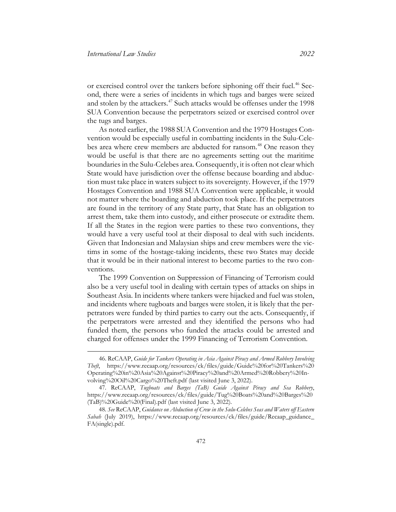or exercised control over the tankers before siphoning off their fuel. [46](#page-20-0) Second, there were a series of incidents in which tugs and barges were seized and stolen by the attackers.<sup>[47](#page-20-1)</sup> Such attacks would be offenses under the 1998 SUA Convention because the perpetrators seized or exercised control over the tugs and barges.

As noted earlier, the 1988 SUA Convention and the 1979 Hostages Convention would be especially useful in combatting incidents in the Sulu-Cele-bes area where crew members are abducted for ransom.<sup>[48](#page-20-2)</sup> One reason they would be useful is that there are no agreements setting out the maritime boundaries in the Sulu-Celebes area. Consequently, it is often not clear which State would have jurisdiction over the offense because boarding and abduction must take place in waters subject to its sovereignty. However, if the 1979 Hostages Convention and 1988 SUA Convention were applicable, it would not matter where the boarding and abduction took place. If the perpetrators are found in the territory of any State party, that State has an obligation to arrest them, take them into custody, and either prosecute or extradite them. If all the States in the region were parties to these two conventions, they would have a very useful tool at their disposal to deal with such incidents. Given that Indonesian and Malaysian ships and crew members were the victims in some of the hostage-taking incidents, these two States may decide that it would be in their national interest to become parties to the two conventions.

The 1999 Convention on Suppression of Financing of Terrorism could also be a very useful tool in dealing with certain types of attacks on ships in Southeast Asia. In incidents where tankers were hijacked and fuel was stolen, and incidents where tugboats and barges were stolen, it is likely that the perpetrators were funded by third parties to carry out the acts. Consequently, if the perpetrators were arrested and they identified the persons who had funded them, the persons who funded the attacks could be arrested and charged for offenses under the 1999 Financing of Terrorism Convention.

<span id="page-20-0"></span><sup>46.</sup> ReCAAP, *Guide for Tankers Operating in Asia Against Piracy and Armed Robbery Involving Theft*, [https://www.recaap.org/resources/ck/files/guide/Guide%20for%20Tankers%20](https://www.recaap.org/resources/ck/files/guide/Guide%20for%20Tankers%20Operating%20in%20Asia%20Against%20Piracy%20and%20Armed%20Robbery%20Involving%20Oil%20Cargo%20Theft.pdf)  [Operating%20in%20Asia%20Against%20Piracy%20and%20Armed%20Robbery%20In](https://www.recaap.org/resources/ck/files/guide/Guide%20for%20Tankers%20Operating%20in%20Asia%20Against%20Piracy%20and%20Armed%20Robbery%20Involving%20Oil%20Cargo%20Theft.pdf)[volving%20Oil%20Cargo%20Theft.pdf](https://www.recaap.org/resources/ck/files/guide/Guide%20for%20Tankers%20Operating%20in%20Asia%20Against%20Piracy%20and%20Armed%20Robbery%20Involving%20Oil%20Cargo%20Theft.pdf) (last visited June 3, 2022).

<span id="page-20-1"></span><sup>47.</sup> ReCAAP, *Tugboats and Barges (TaB) Guide Against Piracy and Sea Robbery*, [https://www.recaap.org/resources/ck/files/guide/Tug%20Boats%20and%20Barges%20](https://www.recaap.org/resources/ck/files/guide/Tug%20Boats%20and%20Barges%20(TaB)%20Guide%20(Final).pdf)  [\(TaB\)%20Guide%20\(Final\).pdf](https://www.recaap.org/resources/ck/files/guide/Tug%20Boats%20and%20Barges%20(TaB)%20Guide%20(Final).pdf) (last visited June 3, 2022).

<span id="page-20-2"></span><sup>48.</sup> *See* ReCAAP, *Guidance on Abduction of Crew in the Sulu-Celebes Seas and Waters off Eastern Sabah* (July 2019), [https://www.recaap.org/resources/ck/files/guide/Recaap\\_guidance\\_](https://www.recaap.org/resources/ck/files/guide/Recaap_guidance_FA(single).pdf)  [FA\(single\).pdf.](https://www.recaap.org/resources/ck/files/guide/Recaap_guidance_FA(single).pdf)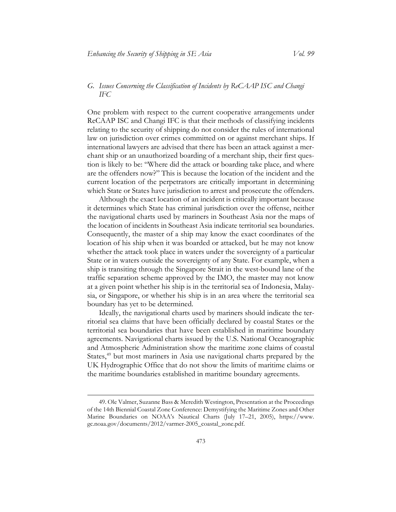# <span id="page-21-0"></span>*G. Issues Concerning the Classification of Incidents by ReCAAP ISC and Changi IFC*

One problem with respect to the current cooperative arrangements under ReCAAP ISC and Changi IFC is that their methods of classifying incidents relating to the security of shipping do not consider the rules of international law on jurisdiction over crimes committed on or against merchant ships. If international lawyers are advised that there has been an attack against a merchant ship or an unauthorized boarding of a merchant ship, their first question is likely to be: "Where did the attack or boarding take place, and where are the offenders now?" This is because the location of the incident and the current location of the perpetrators are critically important in determining which State or States have jurisdiction to arrest and prosecute the offenders.

Although the exact location of an incident is critically important because it determines which State has criminal jurisdiction over the offense, neither the navigational charts used by mariners in Southeast Asia nor the maps of the location of incidents in Southeast Asia indicate territorial sea boundaries. Consequently, the master of a ship may know the exact coordinates of the location of his ship when it was boarded or attacked, but he may not know whether the attack took place in waters under the sovereignty of a particular State or in waters outside the sovereignty of any State. For example, when a ship is transiting through the Singapore Strait in the west-bound lane of the traffic separation scheme approved by the IMO, the master may not know at a given point whether his ship is in the territorial sea of Indonesia, Malaysia, or Singapore, or whether his ship is in an area where the territorial sea boundary has yet to be determined.

Ideally, the navigational charts used by mariners should indicate the territorial sea claims that have been officially declared by coastal States or the territorial sea boundaries that have been established in maritime boundary agreements. Navigational charts issued by the U.S. National Oceanographic and Atmospheric Administration show the maritime zone claims of coastal States,<sup>[49](#page-21-1)</sup> but most mariners in Asia use navigational charts prepared by the UK Hydrographic Office that do not show the limits of maritime claims or the maritime boundaries established in maritime boundary agreements.

<span id="page-21-1"></span><sup>49.</sup> Ole Valmer, Suzanne Bass & Meredith Westington, Presentation at the Proceedings of the 14th Biennial Coastal Zone Conference: Demystifying the Maritime Zones and Other Marine Boundaries on NOAA's Nautical Charts (July 17–21, 2005), [https://www.](https://www.gc.noaa.gov/documents/2012/varmer-2005_coastal_zone.pdf)  [gc.noaa.gov/documents/2012/varmer-2005\\_coastal\\_zone.pdf.](https://www.gc.noaa.gov/documents/2012/varmer-2005_coastal_zone.pdf)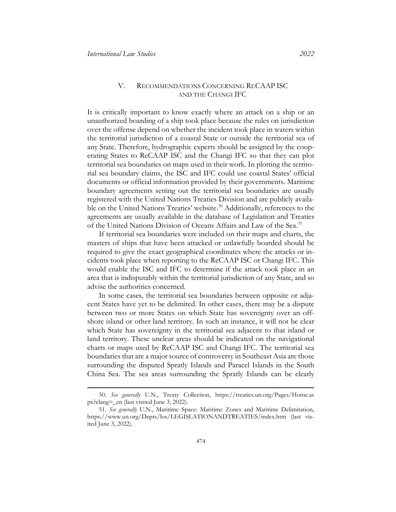# V. RECOMMENDATIONS CONCERNING RECAAP ISC AND THE CHANGI IFC

<span id="page-22-0"></span>It is critically important to know exactly where an attack on a ship or an unauthorized boarding of a ship took place because the rules on jurisdiction over the offense depend on whether the incident took place in waters within the territorial jurisdiction of a coastal State or outside the territorial sea of any State. Therefore, hydrographic experts should be assigned by the cooperating States to ReCAAP ISC and the Changi IFC so that they can plot territorial sea boundaries on maps used in their work. In plotting the territorial sea boundary claims, the ISC and IFC could use coastal States' official documents or official information provided by their governments. Maritime boundary agreements setting out the territorial sea boundaries are usually registered with the United Nations Treaties Division and are publicly availa-ble on the United Nations Treaties' website.<sup>[50](#page-22-1)</sup> Additionally, references to the agreements are usually available in the database of Legislation and Treaties of the United Nations Division of Oceans Affairs and Law of the Sea.<sup>[51](#page-22-2)</sup>

If territorial sea boundaries were included on their maps and charts, the masters of ships that have been attacked or unlawfully boarded should be required to give the exact geographical coordinates where the attacks or incidents took place when reporting to the ReCAAP ISC or Changi IFC. This would enable the ISC and IFC to determine if the attack took place in an area that is indisputably within the territorial jurisdiction of any State, and so advise the authorities concerned.

In some cases, the territorial sea boundaries between opposite or adjacent States have yet to be delimited. In other cases, there may be a dispute between two or more States on which State has sovereignty over an offshore island or other land territory. In such an instance, it will not be clear which State has sovereignty in the territorial sea adjacent to that island or land territory. These unclear areas should be indicated on the navigational charts or maps used by ReCAAP ISC and Changi IFC. The territorial sea boundaries that are a major source of controversy in Southeast Asia are those surrounding the disputed Spratly Islands and Paracel Islands in the South China Sea. The sea areas surrounding the Spratly Islands can be clearly

<span id="page-22-1"></span><sup>50.</sup> *See generally* U.N., Treaty Collection, [https://treaties.un.org/Pages/Home.as](https://treaties.un.org/Pages/Home.aspx?clang=_en)  [px?clang=\\_en](https://treaties.un.org/Pages/Home.aspx?clang=_en) (last visited June 3, 2022).

<span id="page-22-2"></span><sup>51.</sup> *See generally* U.N., Maritime Space: Maritime Zones and Maritime Delimitation, <https://www.un.org/Depts/los/LEGISLATIONANDTREATIES/index.htm> (last visited June 3, 2022).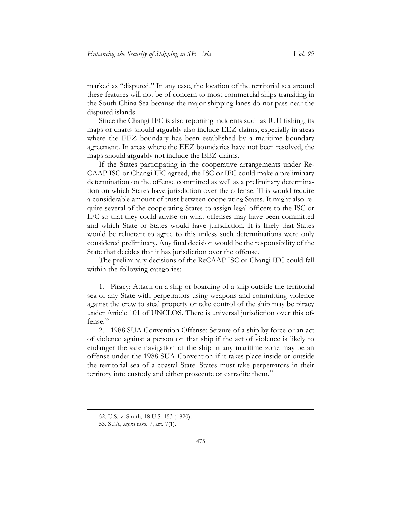marked as "disputed." In any case, the location of the territorial sea around these features will not be of concern to most commercial ships transiting in the South China Sea because the major shipping lanes do not pass near the disputed islands.

Since the Changi IFC is also reporting incidents such as IUU fishing, its maps or charts should arguably also include EEZ claims, especially in areas where the EEZ boundary has been established by a maritime boundary agreement. In areas where the EEZ boundaries have not been resolved, the maps should arguably not include the EEZ claims.

If the States participating in the cooperative arrangements under Re-CAAP ISC or Changi IFC agreed, the ISC or IFC could make a preliminary determination on the offense committed as well as a preliminary determination on which States have jurisdiction over the offense. This would require a considerable amount of trust between cooperating States. It might also require several of the cooperating States to assign legal officers to the ISC or IFC so that they could advise on what offenses may have been committed and which State or States would have jurisdiction. It is likely that States would be reluctant to agree to this unless such determinations were only considered preliminary. Any final decision would be the responsibility of the State that decides that it has jurisdiction over the offense.

The preliminary decisions of the ReCAAP ISC or Changi IFC could fall within the following categories:

1. Piracy: Attack on a ship or boarding of a ship outside the territorial sea of any State with perpetrators using weapons and committing violence against the crew to steal property or take control of the ship may be piracy under Article 101 of UNCLOS. There is universal jurisdiction over this offense. [52](#page-23-0)

2. 1988 SUA Convention Offense: Seizure of a ship by force or an act of violence against a person on that ship if the act of violence is likely to endanger the safe navigation of the ship in any maritime zone may be an offense under the 1988 SUA Convention if it takes place inside or outside the territorial sea of a coastal State. States must take perpetrators in their territory into custody and either prosecute or extradite them.<sup>[53](#page-23-1)</sup>

<span id="page-23-0"></span><sup>52.</sup> U.S. v. Smith, 18 U.S. 153 (1820).

<span id="page-23-1"></span><sup>53.</sup> SUA, *supra* note [7,](#page-6-0) art. 7(1).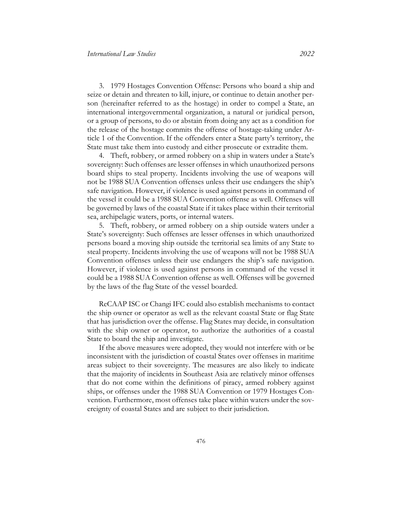3. 1979 Hostages Convention Offense: Persons who board a ship and seize or detain and threaten to kill, injure, or continue to detain another person (hereinafter referred to as the hostage) in order to compel a State, an international intergovernmental organization, a natural or juridical person, or a group of persons, to do or abstain from doing any act as a condition for the release of the hostage commits the offense of hostage-taking under Article 1 of the Convention. If the offenders enter a State party's territory, the State must take them into custody and either prosecute or extradite them.

4. Theft, robbery, or armed robbery on a ship in waters under a State's sovereignty: Such offenses are lesser offenses in which unauthorized persons board ships to steal property. Incidents involving the use of weapons will not be 1988 SUA Convention offenses unless their use endangers the ship's safe navigation. However, if violence is used against persons in command of the vessel it could be a 1988 SUA Convention offense as well. Offenses will be governed by laws of the coastal State if it takes place within their territorial sea, archipelagic waters, ports, or internal waters.

5. Theft, robbery, or armed robbery on a ship outside waters under a State's sovereignty: Such offenses are lesser offenses in which unauthorized persons board a moving ship outside the territorial sea limits of any State to steal property. Incidents involving the use of weapons will not be 1988 SUA Convention offenses unless their use endangers the ship's safe navigation. However, if violence is used against persons in command of the vessel it could be a 1988 SUA Convention offense as well. Offenses will be governed by the laws of the flag State of the vessel boarded.

ReCAAP ISC or Changi IFC could also establish mechanisms to contact the ship owner or operator as well as the relevant coastal State or flag State that has jurisdiction over the offense. Flag States may decide, in consultation with the ship owner or operator, to authorize the authorities of a coastal State to board the ship and investigate.

If the above measures were adopted, they would not interfere with or be inconsistent with the jurisdiction of coastal States over offenses in maritime areas subject to their sovereignty. The measures are also likely to indicate that the majority of incidents in Southeast Asia are relatively minor offenses that do not come within the definitions of piracy, armed robbery against ships, or offenses under the 1988 SUA Convention or 1979 Hostages Convention. Furthermore, most offenses take place within waters under the sovereignty of coastal States and are subject to their jurisdiction.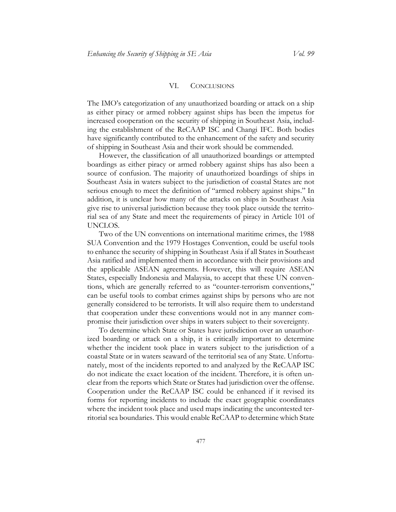#### VI. CONCLUSIONS

<span id="page-25-0"></span>The IMO's categorization of any unauthorized boarding or attack on a ship as either piracy or armed robbery against ships has been the impetus for increased cooperation on the security of shipping in Southeast Asia, including the establishment of the ReCAAP ISC and Changi IFC. Both bodies have significantly contributed to the enhancement of the safety and security of shipping in Southeast Asia and their work should be commended.

However, the classification of all unauthorized boardings or attempted boardings as either piracy or armed robbery against ships has also been a source of confusion. The majority of unauthorized boardings of ships in Southeast Asia in waters subject to the jurisdiction of coastal States are not serious enough to meet the definition of "armed robbery against ships." In addition, it is unclear how many of the attacks on ships in Southeast Asia give rise to universal jurisdiction because they took place outside the territorial sea of any State and meet the requirements of piracy in Article 101 of UNCLOS.

Two of the UN conventions on international maritime crimes, the 1988 SUA Convention and the 1979 Hostages Convention, could be useful tools to enhance the security of shipping in Southeast Asia if all States in Southeast Asia ratified and implemented them in accordance with their provisions and the applicable ASEAN agreements. However, this will require ASEAN States, especially Indonesia and Malaysia, to accept that these UN conventions, which are generally referred to as "counter-terrorism conventions," can be useful tools to combat crimes against ships by persons who are not generally considered to be terrorists. It will also require them to understand that cooperation under these conventions would not in any manner compromise their jurisdiction over ships in waters subject to their sovereignty.

To determine which State or States have jurisdiction over an unauthorized boarding or attack on a ship, it is critically important to determine whether the incident took place in waters subject to the jurisdiction of a coastal State or in waters seaward of the territorial sea of any State. Unfortunately, most of the incidents reported to and analyzed by the ReCAAP ISC do not indicate the exact location of the incident. Therefore, it is often unclear from the reports which State or States had jurisdiction over the offense. Cooperation under the ReCAAP ISC could be enhanced if it revised its forms for reporting incidents to include the exact geographic coordinates where the incident took place and used maps indicating the uncontested territorial sea boundaries. This would enable ReCAAP to determine which State